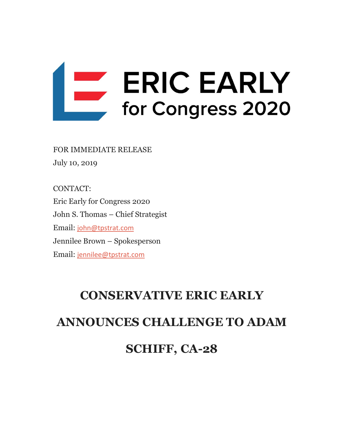

FOR IMMEDIATE RELEASE July 10, 2019

CONTACT: Eric Early for Congress 2020 John S. Thomas – Chief Strategist Email: [john@tpstrat.com](mailto:john@tpstrat.com) Jennilee Brown – Spokesperson Email: [jennilee@tpstrat.com](mailto:jennilee@tpstrat.com)

# **CONSERVATIVE ERIC EARLY ANNOUNCES CHALLENGE TO ADAM SCHIFF, CA-28**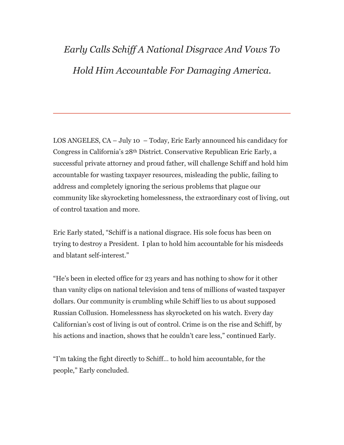### *Early Calls Schiff A National Disgrace And Vows To Hold Him Accountable For Damaging America.*

LOS ANGELES,  $CA - July 10 - Today$ , Eric Early announced his candidacy for Congress in California's 28th District. Conservative Republican Eric Early, a successful private attorney and proud father, will challenge Schiff and hold him accountable for wasting taxpayer resources, misleading the public, failing to address and completely ignoring the serious problems that plague our community like skyrocketing homelessness, the extraordinary cost of living, out of control taxation and more.

Eric Early stated, "Schiff is a national disgrace. His sole focus has been on trying to destroy a President. I plan to hold him accountable for his misdeeds and blatant self-interest."

"He's been in elected office for 23 years and has nothing to show for it other than vanity clips on national television and tens of millions of wasted taxpayer dollars. Our community is crumbling while Schiff lies to us about supposed Russian Collusion. Homelessness has skyrocketed on his watch. Every day Californian's cost of living is out of control. Crime is on the rise and Schiff, by his actions and inaction, shows that he couldn't care less," continued Early.

"I'm taking the fight directly to Schiff… to hold him accountable, for the people," Early concluded.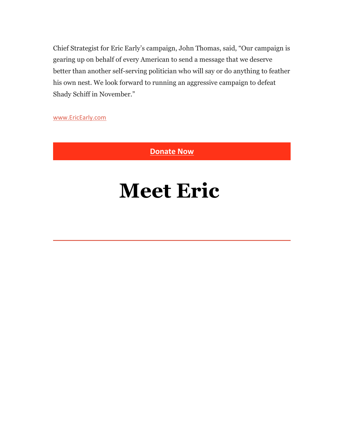Chief Strategist for Eric Early's campaign, John Thomas, said, "Our campaign is gearing up on behalf of every American to send a message that we deserve better than another self-serving politician who will say or do anything to feather his own nest. We look forward to running an aggressive campaign to defeat Shady Schiff in November."

[www.EricEarly.com](https://earlyag.us17.list-manage.com/track/click?u=1b1fdfd5d3ff0b4665b1695fb&id=87ddd9565b&e=b6a78da867)

**[Donate Now](https://earlyag.us17.list-manage.com/track/click?u=1b1fdfd5d3ff0b4665b1695fb&id=cb5079f39d&e=b6a78da867)**

## **Meet Eric**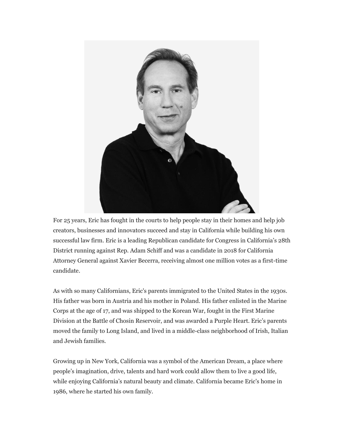

For 25 years, Eric has fought in the courts to help people stay in their homes and help job creators, businesses and innovators succeed and stay in California while building his own successful law firm. Eric is a leading Republican candidate for Congress in California's 28th District running against Rep. Adam Schiff and was a candidate in 2018 for California Attorney General against Xavier Becerra, receiving almost one million votes as a first-time candidate.

As with so many Californians, Eric's parents immigrated to the United States in the 1930s. His father was born in Austria and his mother in Poland. His father enlisted in the Marine Corps at the age of 17, and was shipped to the Korean War, fought in the First Marine Division at the Battle of Chosin Reservoir, and was awarded a Purple Heart. Eric's parents moved the family to Long Island, and lived in a middle-class neighborhood of Irish, Italian and Jewish families.

Growing up in New York, California was a symbol of the American Dream, a place where people's imagination, drive, talents and hard work could allow them to live a good life, while enjoying California's natural beauty and climate. California became Eric's home in 1986, where he started his own family.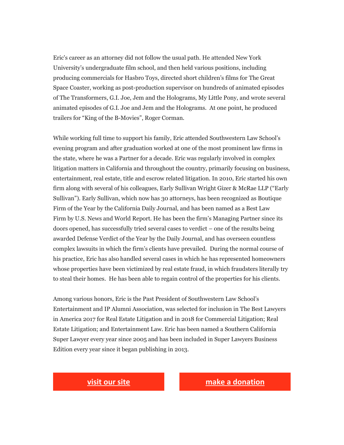Eric's career as an attorney did not follow the usual path. He attended New York University's undergraduate film school, and then held various positions, including producing commercials for Hasbro Toys, directed short children's films for The Great Space Coaster, working as post-production supervisor on hundreds of animated episodes of The Transformers, G.I. Joe, Jem and the Holograms, My Little Pony, and wrote several animated episodes of G.I. Joe and Jem and the Holograms. At one point, he produced trailers for "King of the B-Movies", Roger Corman.

While working full time to support his family, Eric attended Southwestern Law School's evening program and after graduation worked at one of the most prominent law firms in the state, where he was a Partner for a decade. Eric was regularly involved in complex litigation matters in California and throughout the country, primarily focusing on business, entertainment, real estate, title and escrow related litigation. In 2010, Eric started his own firm along with several of his colleagues, Early Sullivan Wright Gizer & McRae LLP ("Early Sullivan"). Early Sullivan, which now has 30 attorneys, has been recognized as Boutique Firm of the Year by the California Daily Journal, and has been named as a Best Law Firm by U.S. News and World Report. He has been the firm's Managing Partner since its doors opened, has successfully tried several cases to verdict – one of the results being awarded Defense Verdict of the Year by the Daily Journal, and has overseen countless complex lawsuits in which the firm's clients have prevailed. During the normal course of his practice, Eric has also handled several cases in which he has represented homeowners whose properties have been victimized by real estate fraud, in which fraudsters literally try to steal their homes. He has been able to regain control of the properties for his clients.

Among various honors, Eric is the Past President of Southwestern Law School's Entertainment and IP Alumni Association, was selected for inclusion in The Best Lawyers in America 2017 for Real Estate Litigation and in 2018 for Commercial Litigation; Real Estate Litigation; and Entertainment Law. Eric has been named a Southern California Super Lawyer every year since 2005 and has been included in Super Lawyers Business Edition every year since it began publishing in 2013.